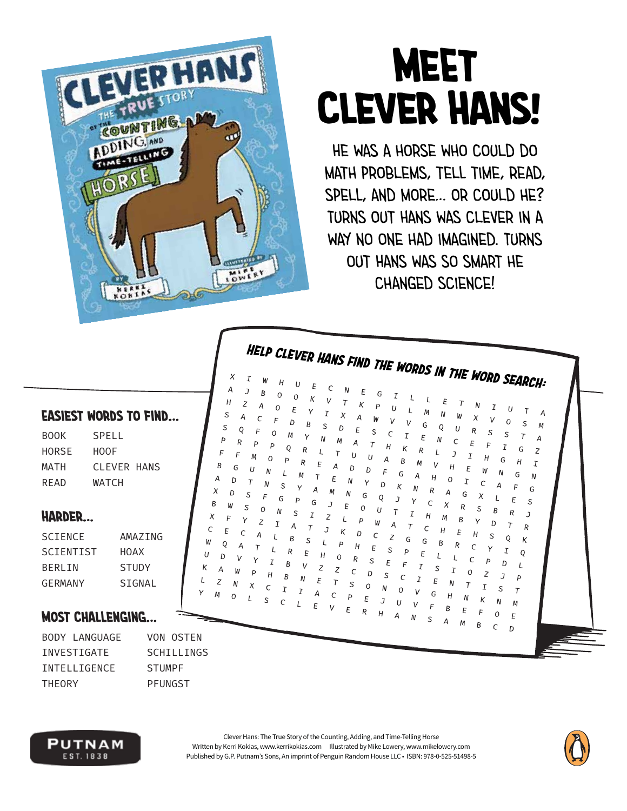

 $\boldsymbol{\chi}$  $\overline{A}$ 

 $H$ 

S

S Q

Þ

 $\overline{F}$ E

B G

 $\overline{A}$ D

 $\boldsymbol{\mathsf{X}}$ 

B

 $\chi$ 

 $\overline{C}$ 

W

U D

K

D Ś

W

 $\mathsf{E}$ 

 $\overline{F}$  $\sqrt{ }$ 

 $Q$ 

 $\overline{z}$ 

 $\overline{1}$ 

Z

 $\overline{R}$ 

U  $\mathsf{N}$ 

 $\overline{t}$ 

R

A

 $\Omega$ 

O

 $\Omega$ 

 $\Omega$ 

 $\overline{z}$ 

S

G

 $\mathbf{I}$ 

O

Ė

R

S

Δ

 $\overline{B}$ 

R

<sub>R</sub>

B

 $\mathbf{I}$ 

S

F

 $\vee$ 

E

F

Z

 $\overline{H}$  $\Omega$  $\overline{R}$ S E

F

 $\kappa$ 

 $\mathbf{v}$ 

# **MEET CLEVER HANS!**

HE WAS A HORSE WHO COULD DO MATH PROBLEMS, TELL TIME, READ, SPELL, AND MORE... OR COULD HE? TURNS OUT HANS WAS CLEVER IN A WAY NO ONE HAD IMAGINED. TURNS OUT HANS WAS SO SMART HE CHANGED SCIENCE!

HELP CLEVER HANS FIND THE WORDS IN THE WORD SEARCH:

 $\boldsymbol{\tau}$ 

U

Ċ

H

 $\mathsf{L}$ 

 $\overline{I}$ 

Ι Ė

 $\overline{B}$ 

G

 $\mathsf L$ 

M

G

 $\overline{R}$ 

M

N

R

C

 $\overline{H}$ 

 $\sqrt{ }$ 

G

E

G

 $\overline{I}$ S E  $\overline{1}$ 

N W  $\boldsymbol{\mathsf{x}}$  $\mathsf{v}$  $\mathcal{O}$ S

 $\mathsf{N}$  $\mathsf{C}$ 

 $\overline{11}$ 

 $\sqrt{ }$ 

M R

 $\overline{I}$ 

 $\mathbf{M}$ 

B

N

 $\overline{R}$ 

F

 $\mathbf{7}$ 

G

 $\overline{I}$ 

S S

 $H$ G

 $\boldsymbol{\chi}$ 

D  $\bar{T}$ 

S

 $\overline{z}$ J

 $\overline{R}$  $\mathsf{C}$ D

S

 $\mathcal{C}$ 

 $\sigma$ 

 $\cup$ 

T G  $\boldsymbol{Z}$ 

 $\overline{I}$ 

 $\tau$ 

 $\overline{H}$ 

G  $\overline{N}$ 

F G

E S

 $\boldsymbol{R}$ 

 $Q$ 

 $\cal I$ 

 $\overline{D}$ 

S  $\tau$ 

 $\overline{M}$  $\mathcal M$ 

 $\Omega$ 

 $\overline{J}$ 

 $\overline{R}$ 

 $\boldsymbol{\mathsf{K}}$ 

 $\mathsf Q$ 

 $\overline{L}$ 

 $\overline{P}$ 

 $E$ 

 $\overline{A}$ 

M

 $\boldsymbol{A}$ 

 $\cal I$ 

N

 $\overline{D}$ 

F

K Þ

E

 $\overline{11}$ 

D

N

F

К  $\overline{D}$  $\overline{C}$ 

P  $\overline{H}$ E

Z

T  $\overline{\mathcal{S}}$ 

 $\sqrt{ }$ 

 $\mathsf{C}$ 

 $\overline{D}$ S

 $\Omega$ 

E

R

G

S

 $\mathfrak{c}$ 

D

G

Þ

 $\overline{11}$ 

W

Z

S

G

 $\overline{P}$ 

 $\sqrt{ }$  $\overline{I}$ 

#### **EASIEST WORDS TO FIND...**

| BOOK  | SPELL       |  |
|-------|-------------|--|
| HORSE | HOOF        |  |
| MATH  | CLEVER HANS |  |
| READ  | WATCH       |  |

#### **HARDER...**

| <b>SCTENCE</b> | AMA7TNG      |
|----------------|--------------|
| SCIENTIST      | HOAX         |
| <b>BFRLTN</b>  | <b>STUDY</b> |
| GERMANY        | SIGNAL       |
|                |              |

#### **MOST CHALLENGING...**

|        | BODY LANGUAGE       |
|--------|---------------------|
|        | INVESTIGATF         |
|        | <b>TNTFLLTGENCE</b> |
| THFORY |                     |

VON OSTEN SCHILLINGS **STUMPF** PFUNGST



Clever Hans: The True Story of the Counting, Adding, and Time-Telling Horse Written by Kerri Kokias, www.kerrikokias.com Illustrated by Mike Lowery, www.mikelowery.com Published by G.P. Putnam's Sons, An imprint of Penguin Random House LLC . ISBN: 978-0-525-51498-5